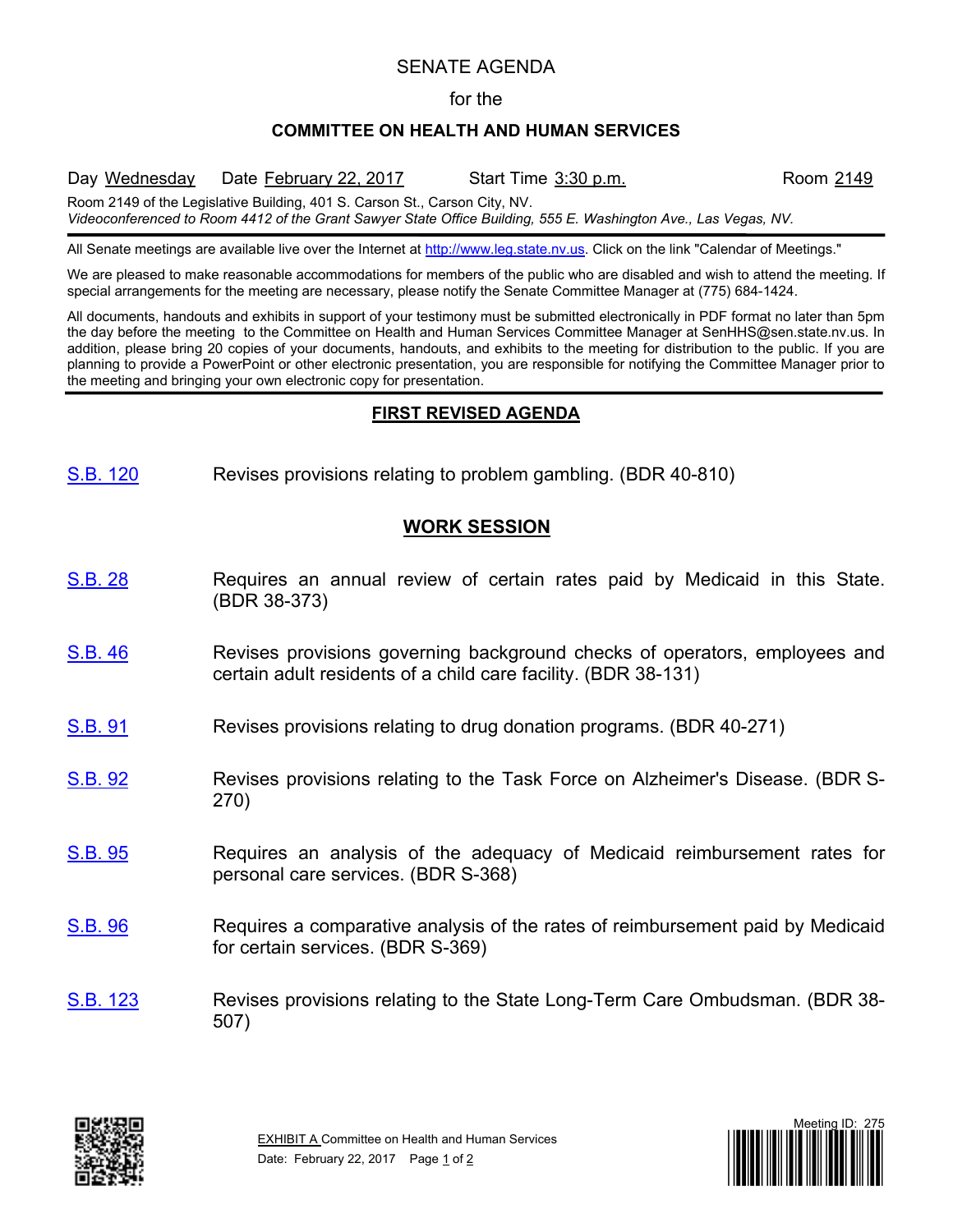# SENATE AGENDA

#### for the

### **COMMITTEE ON HEALTH AND HUMAN SERVICES**

Day Wednesday Date February 22, 2017 Start Time 3:30 p.m. Room 2149 Room 2149 of the Legislative Building, 401 S. Carson St., Carson City, NV. *Videoconferenced to Room 4412 of the Grant Sawyer State Office Building, 555 E. Washington Ave., Las Vegas, NV.*

All Senate meetings are available live over the Internet at [http://www.leg.state.nv.us.](http://www.leg.state.nv.us/) Click on the link "Calendar of Meetings."

We are pleased to make reasonable accommodations for members of the public who are disabled and wish to attend the meeting. If special arrangements for the meeting are necessary, please notify the Senate Committee Manager at (775) 684-1424.

All documents, handouts and exhibits in support of your testimony must be submitted electronically in PDF format no later than 5pm the day before the meeting to the Committee on Health and Human Services Committee Manager at SenHHS@sen.state.nv.us. In addition, please bring 20 copies of your documents, handouts, and exhibits to the meeting for distribution to the public. If you are planning to provide a PowerPoint or other electronic presentation, you are responsible for notifying the Committee Manager prior to the meeting and bringing your own electronic copy for presentation.

#### **FIRST REVISED AGENDA**

[S.B.](https://www.leg.state.nv.us/App/NELIS/REL/79th2017/Bill/4917/Overview/) 120 Revises provisions relating to problem gambling. (BDR 40-810)

# **WORK SESSION**

- [S.B.](https://www.leg.state.nv.us/App/NELIS/REL/79th2017/Bill/4636/Overview/) 28 Requires an annual review of certain rates paid by Medicaid in this State. (BDR 38-373)
- [S.B.](https://www.leg.state.nv.us/App/NELIS/REL/79th2017/Bill/4674/Overview/) 46 Revises provisions governing background checks of operators, employees and certain adult residents of a child care facility. (BDR 38-131)
- [S.B.](https://www.leg.state.nv.us/App/NELIS/REL/79th2017/Bill/4786/Overview/) 91 Revises provisions relating to drug donation programs. (BDR 40-271)
- [S.B.](https://www.leg.state.nv.us/App/NELIS/REL/79th2017/Bill/4787/Overview/) 92 Revises provisions relating to the Task Force on Alzheimer's Disease. (BDR S-270)
- [S.B.](https://www.leg.state.nv.us/App/NELIS/REL/79th2017/Bill/4790/Overview/) 95 Requires an analysis of the adequacy of Medicaid reimbursement rates for personal care services. (BDR S-368)
- [S.B.](https://www.leg.state.nv.us/App/NELIS/REL/79th2017/Bill/4791/Overview/) 96 Requires a comparative analysis of the rates of reimbursement paid by Medicaid for certain services. (BDR S-369)
- [S.B.](https://www.leg.state.nv.us/App/NELIS/REL/79th2017/Bill/4922/Overview/) 123 Revises provisions relating to the State Long-Term Care Ombudsman. (BDR 38- 507)